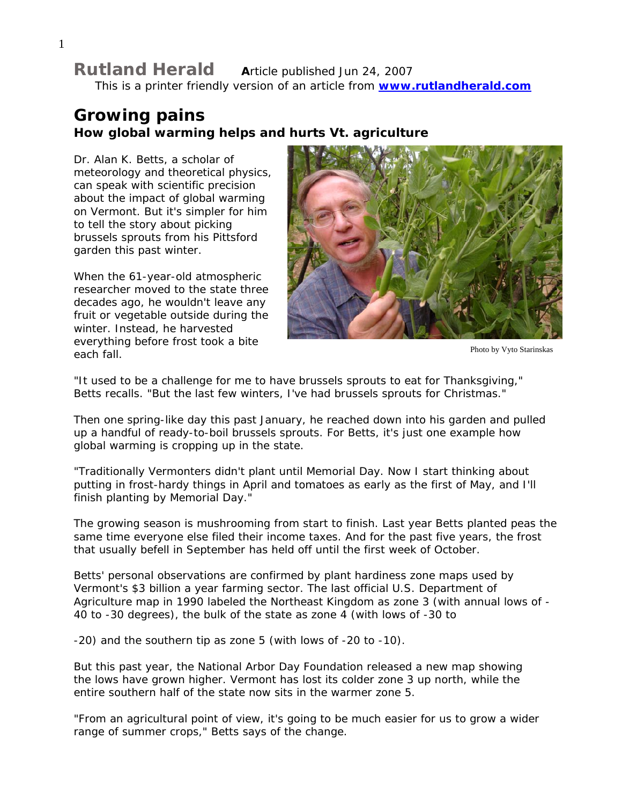## **Rutland Herald A**rticle published Jun 24, 2007

This is a printer friendly version of an article from **[www.rutlandherald.com](http://www.rutlandherald.com/)**

# **Growing pains How global warming helps and hurts Vt. agriculture**

Dr. Alan K. Betts, a scholar of meteorology and theoretical physics, can speak with scientific precision about the impact of global warming on Vermont. But it's simpler for him to tell the story about picking brussels sprouts from his Pittsford garden this past winter.

When the 61-year-old atmospheric researcher moved to the state three decades ago, he wouldn't leave any fruit or vegetable outside during the winter. Instead, he harvested everything before frost took a bite each fall. Photo by Vyto Starinskas



"It used to be a challenge for me to have brussels sprouts to eat for Thanksgiving," Betts recalls. "But the last few winters, I've had brussels sprouts for Christmas."

Then one spring-like day this past January, he reached down into his garden and pulled up a handful of ready-to-boil brussels sprouts. For Betts, it's just one example how global warming is cropping up in the state.

"Traditionally Vermonters didn't plant until Memorial Day. Now I start thinking about putting in frost-hardy things in April and tomatoes as early as the first of May, and I'll finish planting by Memorial Day."

The growing season is mushrooming from start to finish. Last year Betts planted peas the same time everyone else filed their income taxes. And for the past five years, the frost that usually befell in September has held off until the first week of October.

Betts' personal observations are confirmed by plant hardiness zone maps used by Vermont's \$3 billion a year farming sector. The last official U.S. Department of Agriculture map in 1990 labeled the Northeast Kingdom as zone 3 (with annual lows of - 40 to -30 degrees), the bulk of the state as zone 4 (with lows of -30 to

-20) and the southern tip as zone 5 (with lows of -20 to -10).

But this past year, the National Arbor Day Foundation released a new map showing the lows have grown higher. Vermont has lost its colder zone 3 up north, while the entire southern half of the state now sits in the warmer zone 5.

"From an agricultural point of view, it's going to be much easier for us to grow a wider range of summer crops," Betts says of the change.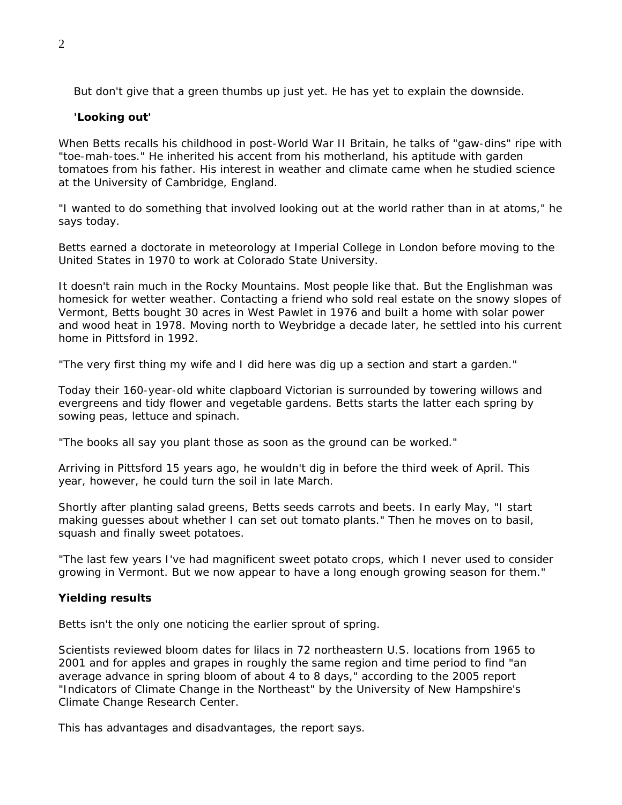But don't give that a green thumbs up just yet. He has yet to explain the downside.

## **'Looking out'**

When Betts recalls his childhood in post-World War II Britain, he talks of "gaw-dins" ripe with "toe-mah-toes." He inherited his accent from his motherland, his aptitude with garden tomatoes from his father. His interest in weather and climate came when he studied science at the University of Cambridge, England.

"I wanted to do something that involved looking out at the world rather than in at atoms," he says today.

Betts earned a doctorate in meteorology at Imperial College in London before moving to the United States in 1970 to work at Colorado State University.

It doesn't rain much in the Rocky Mountains. Most people like that. But the Englishman was homesick for wetter weather. Contacting a friend who sold real estate on the snowy slopes of Vermont, Betts bought 30 acres in West Pawlet in 1976 and built a home with solar power and wood heat in 1978. Moving north to Weybridge a decade later, he settled into his current home in Pittsford in 1992.

"The very first thing my wife and I did here was dig up a section and start a garden."

Today their 160-year-old white clapboard Victorian is surrounded by towering willows and evergreens and tidy flower and vegetable gardens. Betts starts the latter each spring by sowing peas, lettuce and spinach.

"The books all say you plant those as soon as the ground can be worked."

Arriving in Pittsford 15 years ago, he wouldn't dig in before the third week of April. This year, however, he could turn the soil in late March.

Shortly after planting salad greens, Betts seeds carrots and beets. In early May, "I start making guesses about whether I can set out tomato plants." Then he moves on to basil, squash and finally sweet potatoes.

"The last few years I've had magnificent sweet potato crops, which I never used to consider growing in Vermont. But we now appear to have a long enough growing season for them."

## **Yielding results**

Betts isn't the only one noticing the earlier sprout of spring.

Scientists reviewed bloom dates for lilacs in 72 northeastern U.S. locations from 1965 to 2001 and for apples and grapes in roughly the same region and time period to find "an average advance in spring bloom of about 4 to 8 days," according to the 2005 report "Indicators of Climate Change in the Northeast" by the University of New Hampshire's Climate Change Research Center.

This has advantages and disadvantages, the report says.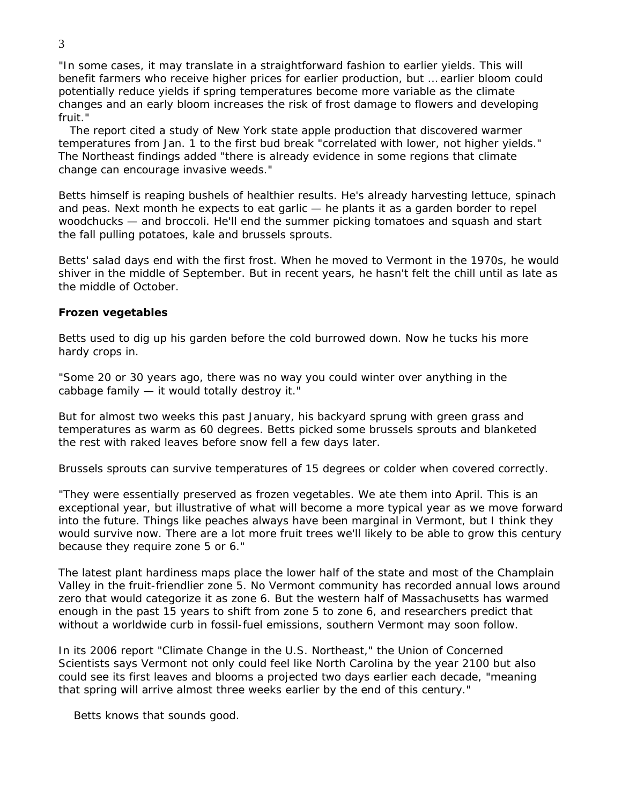"In some cases, it may translate in a straightforward fashion to earlier yields. This will benefit farmers who receive higher prices for earlier production, but … earlier bloom could potentially reduce yields if spring temperatures become more variable as the climate changes and an early bloom increases the risk of frost damage to flowers and developing fruit."

The report cited a study of New York state apple production that discovered warmer temperatures from Jan. 1 to the first bud break "correlated with lower, not higher yields." The Northeast findings added "there is already evidence in some regions that climate change can encourage invasive weeds."

Betts himself is reaping bushels of healthier results. He's already harvesting lettuce, spinach and peas. Next month he expects to eat garlic — he plants it as a garden border to repel woodchucks — and broccoli. He'll end the summer picking tomatoes and squash and start the fall pulling potatoes, kale and brussels sprouts.

Betts' salad days end with the first frost. When he moved to Vermont in the 1970s, he would shiver in the middle of September. But in recent years, he hasn't felt the chill until as late as the middle of October.

### **Frozen vegetables**

Betts used to dig up his garden before the cold burrowed down. Now he tucks his more hardy crops in.

"Some 20 or 30 years ago, there was no way you could winter over anything in the cabbage family — it would totally destroy it."

But for almost two weeks this past January, his backyard sprung with green grass and temperatures as warm as 60 degrees. Betts picked some brussels sprouts and blanketed the rest with raked leaves before snow fell a few days later.

Brussels sprouts can survive temperatures of 15 degrees or colder when covered correctly.

"They were essentially preserved as frozen vegetables. We ate them into April. This is an exceptional year, but illustrative of what will become a more typical year as we move forward into the future. Things like peaches always have been marginal in Vermont, but I think they would survive now. There are a lot more fruit trees we'll likely to be able to grow this century because they require zone 5 or 6."

The latest plant hardiness maps place the lower half of the state and most of the Champlain Valley in the fruit-friendlier zone 5. No Vermont community has recorded annual lows around zero that would categorize it as zone 6. But the western half of Massachusetts has warmed enough in the past 15 years to shift from zone 5 to zone 6, and researchers predict that without a worldwide curb in fossil-fuel emissions, southern Vermont may soon follow.

In its 2006 report "Climate Change in the U.S. Northeast," the Union of Concerned Scientists says Vermont not only could feel like North Carolina by the year 2100 but also could see its first leaves and blooms a projected two days earlier each decade, "meaning that spring will arrive almost three weeks earlier by the end of this century."

Betts knows that sounds good.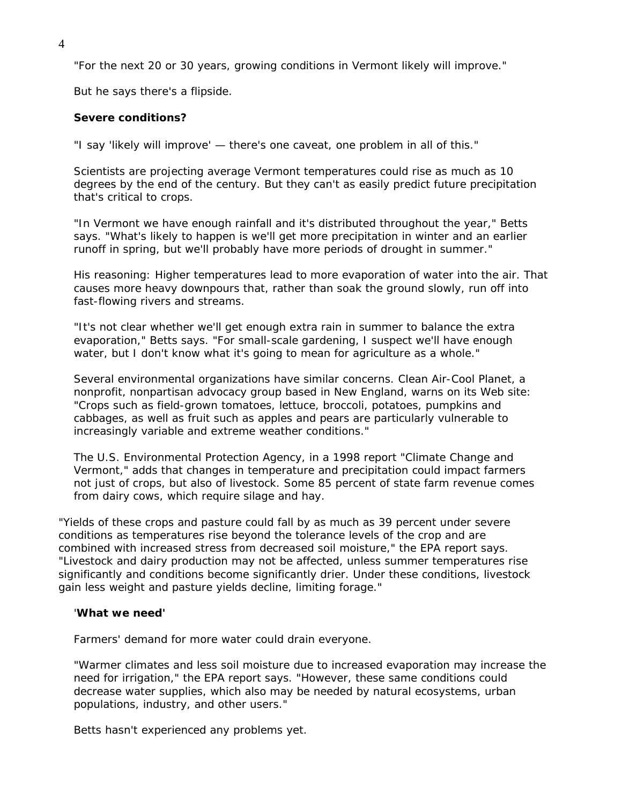"For the next 20 or 30 years, growing conditions in Vermont likely will improve."

But he says there's a flipside.

### **Severe conditions?**

"I say 'likely will improve' — there's one caveat, one problem in all of this."

Scientists are projecting average Vermont temperatures could rise as much as 10 degrees by the end of the century. But they can't as easily predict future precipitation that's critical to crops.

"In Vermont we have enough rainfall and it's distributed throughout the year," Betts says. "What's likely to happen is we'll get more precipitation in winter and an earlier runoff in spring, but we'll probably have more periods of drought in summer."

His reasoning: Higher temperatures lead to more evaporation of water into the air. That causes more heavy downpours that, rather than soak the ground slowly, run off into fast-flowing rivers and streams.

"It's not clear whether we'll get enough extra rain in summer to balance the extra evaporation," Betts says. "For small-scale gardening, I suspect we'll have enough water, but I don't know what it's going to mean for agriculture as a whole."

Several environmental organizations have similar concerns. Clean Air-Cool Planet, a nonprofit, nonpartisan advocacy group based in New England, warns on its Web site: "Crops such as field-grown tomatoes, lettuce, broccoli, potatoes, pumpkins and cabbages, as well as fruit such as apples and pears are particularly vulnerable to increasingly variable and extreme weather conditions."

The U.S. Environmental Protection Agency, in a 1998 report "Climate Change and Vermont," adds that changes in temperature and precipitation could impact farmers not just of crops, but also of livestock. Some 85 percent of state farm revenue comes from dairy cows, which require silage and hay.

"Yields of these crops and pasture could fall by as much as 39 percent under severe conditions as temperatures rise beyond the tolerance levels of the crop and are combined with increased stress from decreased soil moisture," the EPA report says. "Livestock and dairy production may not be affected, unless summer temperatures rise significantly and conditions become significantly drier. Under these conditions, livestock gain less weight and pasture yields decline, limiting forage."

#### '**What we need'**

Farmers' demand for more water could drain everyone.

"Warmer climates and less soil moisture due to increased evaporation may increase the need for irrigation," the EPA report says. "However, these same conditions could decrease water supplies, which also may be needed by natural ecosystems, urban populations, industry, and other users."

Betts hasn't experienced any problems yet.